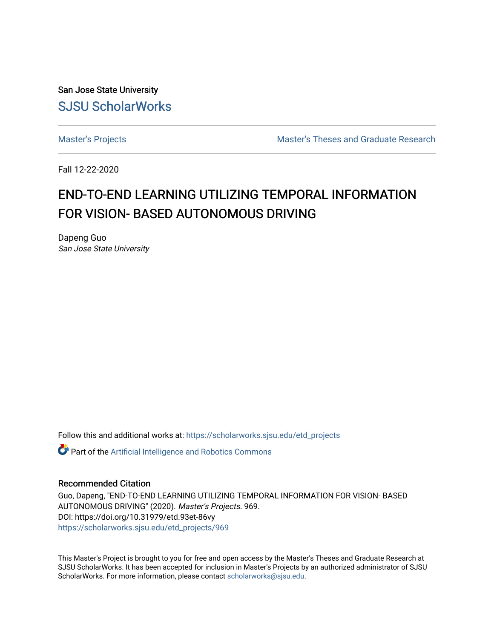San Jose State University [SJSU ScholarWorks](https://scholarworks.sjsu.edu/) 

[Master's Projects](https://scholarworks.sjsu.edu/etd_projects) [Master's Theses and Graduate Research](https://scholarworks.sjsu.edu/etd) 

Fall 12-22-2020

# END-TO-END LEARNING UTILIZING TEMPORAL INFORMATION FOR VISION- BASED AUTONOMOUS DRIVING

Dapeng Guo San Jose State University

Follow this and additional works at: [https://scholarworks.sjsu.edu/etd\\_projects](https://scholarworks.sjsu.edu/etd_projects?utm_source=scholarworks.sjsu.edu%2Fetd_projects%2F969&utm_medium=PDF&utm_campaign=PDFCoverPages) 

Part of the [Artificial Intelligence and Robotics Commons](http://network.bepress.com/hgg/discipline/143?utm_source=scholarworks.sjsu.edu%2Fetd_projects%2F969&utm_medium=PDF&utm_campaign=PDFCoverPages) 

#### Recommended Citation

Guo, Dapeng, "END-TO-END LEARNING UTILIZING TEMPORAL INFORMATION FOR VISION- BASED AUTONOMOUS DRIVING" (2020). Master's Projects. 969. DOI: https://doi.org/10.31979/etd.93et-86vy [https://scholarworks.sjsu.edu/etd\\_projects/969](https://scholarworks.sjsu.edu/etd_projects/969?utm_source=scholarworks.sjsu.edu%2Fetd_projects%2F969&utm_medium=PDF&utm_campaign=PDFCoverPages) 

This Master's Project is brought to you for free and open access by the Master's Theses and Graduate Research at SJSU ScholarWorks. It has been accepted for inclusion in Master's Projects by an authorized administrator of SJSU ScholarWorks. For more information, please contact [scholarworks@sjsu.edu](mailto:scholarworks@sjsu.edu).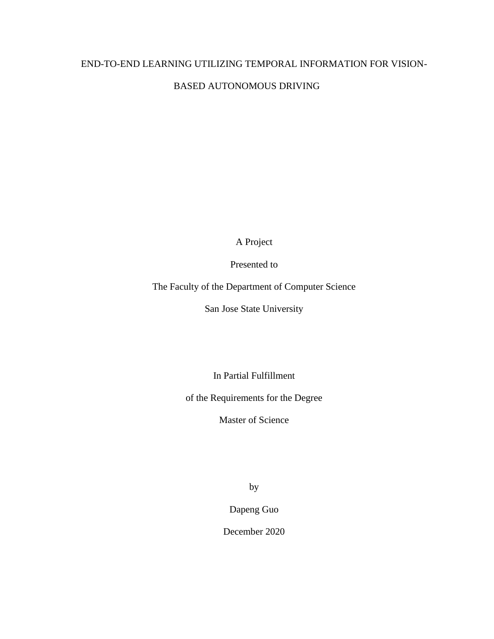# END-TO-END LEARNING UTILIZING TEMPORAL INFORMATION FOR VISION-

# BASED AUTONOMOUS DRIVING

A Project

Presented to

The Faculty of the Department of Computer Science

San Jose State University

In Partial Fulfillment

of the Requirements for the Degree

Master of Science

by

Dapeng Guo

December 2020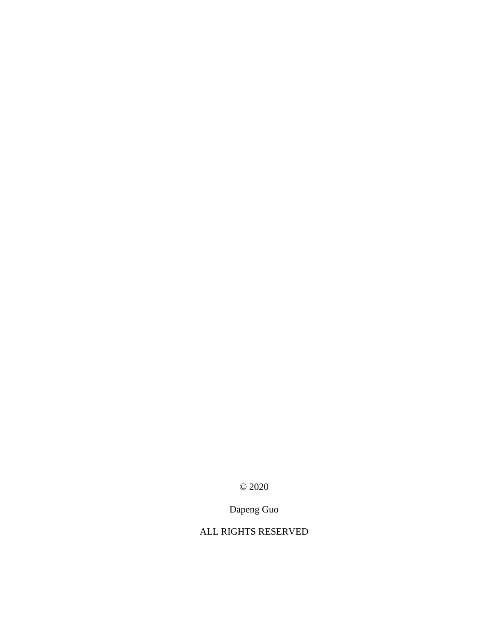© 2020

Dapeng Guo

# ALL RIGHTS RESERVED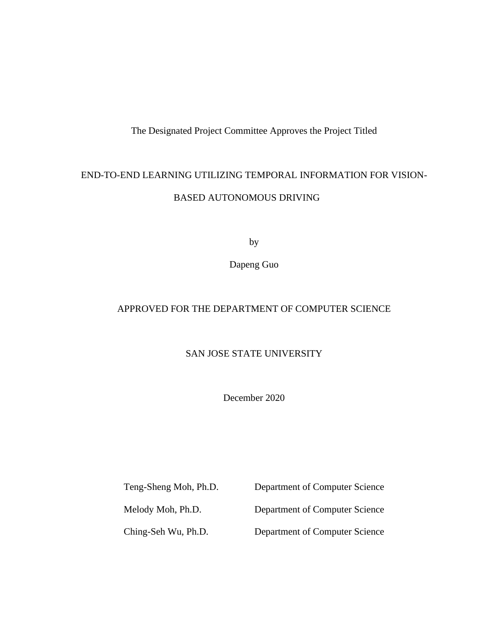# The Designated Project Committee Approves the Project Titled

# END-TO-END LEARNING UTILIZING TEMPORAL INFORMATION FOR VISION-BASED AUTONOMOUS DRIVING

by

Dapeng Guo

# APPROVED FOR THE DEPARTMENT OF COMPUTER SCIENCE

# SAN JOSE STATE UNIVERSITY

December 2020

Teng-Sheng Moh, Ph.D. Department of Computer Science Melody Moh, Ph.D. Department of Computer Science Ching-Seh Wu, Ph.D. Department of Computer Science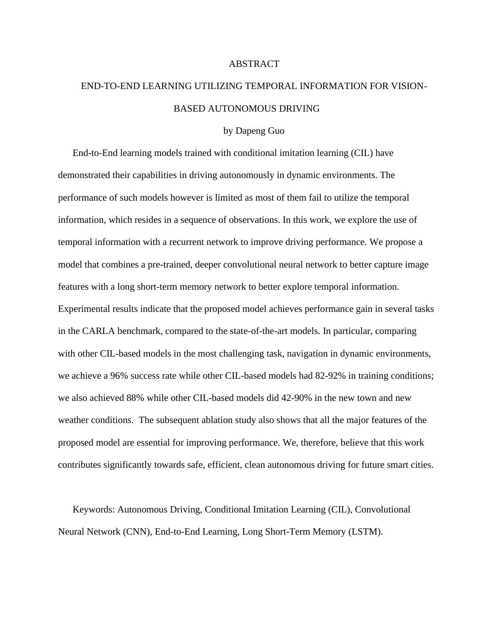## ABSTRACT

# END-TO-END LEARNING UTILIZING TEMPORAL INFORMATION FOR VISION-BASED AUTONOMOUS DRIVING

## by Dapeng Guo

End-to-End learning models trained with conditional imitation learning (CIL) have demonstrated their capabilities in driving autonomously in dynamic environments. The performance of such models however is limited as most of them fail to utilize the temporal information, which resides in a sequence of observations. In this work, we explore the use of temporal information with a recurrent network to improve driving performance. We propose a model that combines a pre-trained, deeper convolutional neural network to better capture image features with a long short-term memory network to better explore temporal information. Experimental results indicate that the proposed model achieves performance gain in several tasks in the CARLA benchmark, compared to the state-of-the-art models. In particular, comparing with other CIL-based models in the most challenging task, navigation in dynamic environments, we achieve a 96% success rate while other CIL-based models had 82-92% in training conditions; we also achieved 88% while other CIL-based models did 42-90% in the new town and new weather conditions. The subsequent ablation study also shows that all the major features of the proposed model are essential for improving performance. We, therefore, believe that this work contributes significantly towards safe, efficient, clean autonomous driving for future smart cities.

Keywords: Autonomous Driving, Conditional Imitation Learning (CIL), Convolutional Neural Network (CNN), End-to-End Learning, Long Short-Term Memory (LSTM).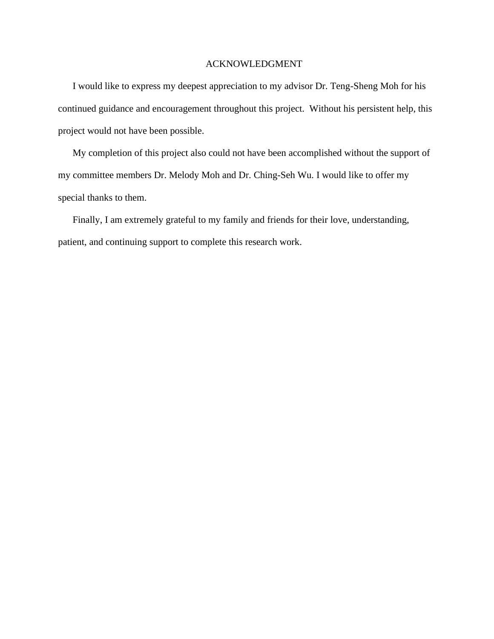# ACKNOWLEDGMENT

I would like to express my deepest appreciation to my advisor Dr. Teng-Sheng Moh for his continued guidance and encouragement throughout this project. Without his persistent help, this project would not have been possible.

My completion of this project also could not have been accomplished without the support of my committee members Dr. Melody Moh and Dr. Ching-Seh Wu. I would like to offer my special thanks to them.

Finally, I am extremely grateful to my family and friends for their love, understanding, patient, and continuing support to complete this research work.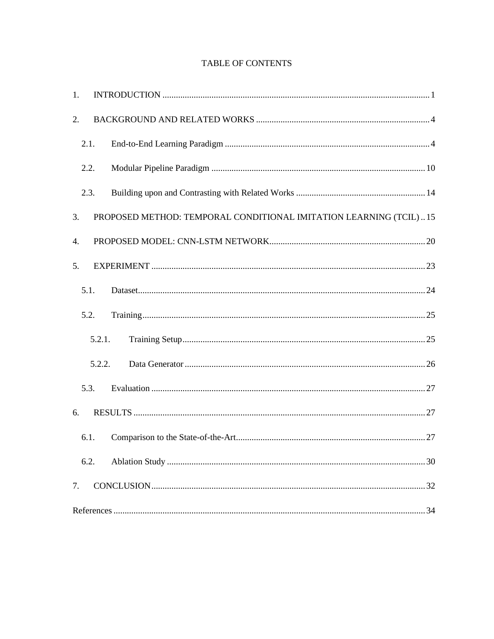# **TABLE OF CONTENTS**

| 1. |        |                                                                   |  |  |  |  |  |
|----|--------|-------------------------------------------------------------------|--|--|--|--|--|
| 2. |        |                                                                   |  |  |  |  |  |
|    | 2.1.   |                                                                   |  |  |  |  |  |
|    | 2.2.   |                                                                   |  |  |  |  |  |
|    | 2.3.   |                                                                   |  |  |  |  |  |
| 3. |        | PROPOSED METHOD: TEMPORAL CONDITIONAL IMITATION LEARNING (TCIL)15 |  |  |  |  |  |
| 4. |        |                                                                   |  |  |  |  |  |
| 5. |        |                                                                   |  |  |  |  |  |
|    | 5.1.   |                                                                   |  |  |  |  |  |
|    | 5.2.   |                                                                   |  |  |  |  |  |
|    | 5.2.1. |                                                                   |  |  |  |  |  |
|    | 5.2.2. |                                                                   |  |  |  |  |  |
|    | 5.3.   |                                                                   |  |  |  |  |  |
| 6. |        |                                                                   |  |  |  |  |  |
|    | 6.1.   |                                                                   |  |  |  |  |  |
|    | 6.2.   |                                                                   |  |  |  |  |  |
| 7. |        |                                                                   |  |  |  |  |  |
|    |        |                                                                   |  |  |  |  |  |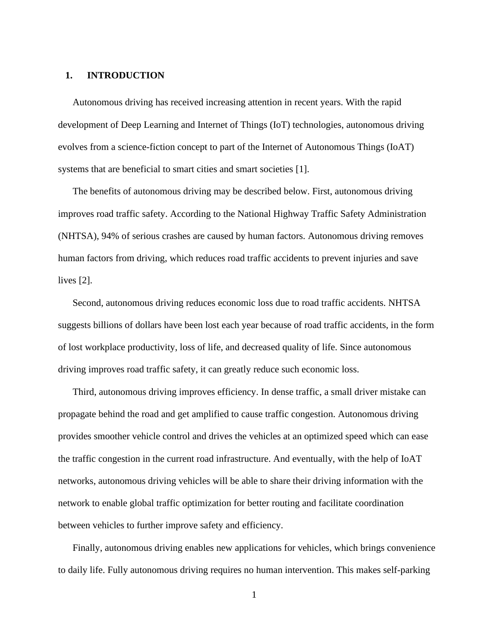### <span id="page-7-0"></span>**1. INTRODUCTION**

Autonomous driving has received increasing attention in recent years. With the rapid development of Deep Learning and Internet of Things (IoT) technologies, autonomous driving evolves from a science-fiction concept to part of the Internet of Autonomous Things (IoAT) systems that are beneficial to smart cities and smart societies [1].

The benefits of autonomous driving may be described below. First, autonomous driving improves road traffic safety. According to the National Highway Traffic Safety Administration (NHTSA), 94% of serious crashes are caused by human factors. Autonomous driving removes human factors from driving, which reduces road traffic accidents to prevent injuries and save lives [2].

Second, autonomous driving reduces economic loss due to road traffic accidents. NHTSA suggests billions of dollars have been lost each year because of road traffic accidents, in the form of lost workplace productivity, loss of life, and decreased quality of life. Since autonomous driving improves road traffic safety, it can greatly reduce such economic loss.

Third, autonomous driving improves efficiency. In dense traffic, a small driver mistake can propagate behind the road and get amplified to cause traffic congestion. Autonomous driving provides smoother vehicle control and drives the vehicles at an optimized speed which can ease the traffic congestion in the current road infrastructure. And eventually, with the help of IoAT networks, autonomous driving vehicles will be able to share their driving information with the network to enable global traffic optimization for better routing and facilitate coordination between vehicles to further improve safety and efficiency.

Finally, autonomous driving enables new applications for vehicles, which brings convenience to daily life. Fully autonomous driving requires no human intervention. This makes self-parking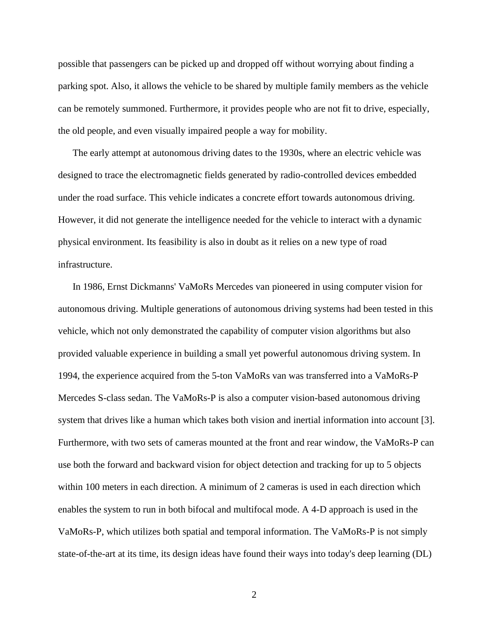possible that passengers can be picked up and dropped off without worrying about finding a parking spot. Also, it allows the vehicle to be shared by multiple family members as the vehicle can be remotely summoned. Furthermore, it provides people who are not fit to drive, especially, the old people, and even visually impaired people a way for mobility.

The early attempt at autonomous driving dates to the 1930s, where an electric vehicle was designed to trace the electromagnetic fields generated by radio-controlled devices embedded under the road surface. This vehicle indicates a concrete effort towards autonomous driving. However, it did not generate the intelligence needed for the vehicle to interact with a dynamic physical environment. Its feasibility is also in doubt as it relies on a new type of road infrastructure.

In 1986, Ernst Dickmanns' VaMoRs Mercedes van pioneered in using computer vision for autonomous driving. Multiple generations of autonomous driving systems had been tested in this vehicle, which not only demonstrated the capability of computer vision algorithms but also provided valuable experience in building a small yet powerful autonomous driving system. In 1994, the experience acquired from the 5-ton VaMoRs van was transferred into a VaMoRs-P Mercedes S-class sedan. The VaMoRs-P is also a computer vision-based autonomous driving system that drives like a human which takes both vision and inertial information into account [3]. Furthermore, with two sets of cameras mounted at the front and rear window, the VaMoRs-P can use both the forward and backward vision for object detection and tracking for up to 5 objects within 100 meters in each direction. A minimum of 2 cameras is used in each direction which enables the system to run in both bifocal and multifocal mode. A 4-D approach is used in the VaMoRs-P, which utilizes both spatial and temporal information. The VaMoRs-P is not simply state-of-the-art at its time, its design ideas have found their ways into today's deep learning (DL)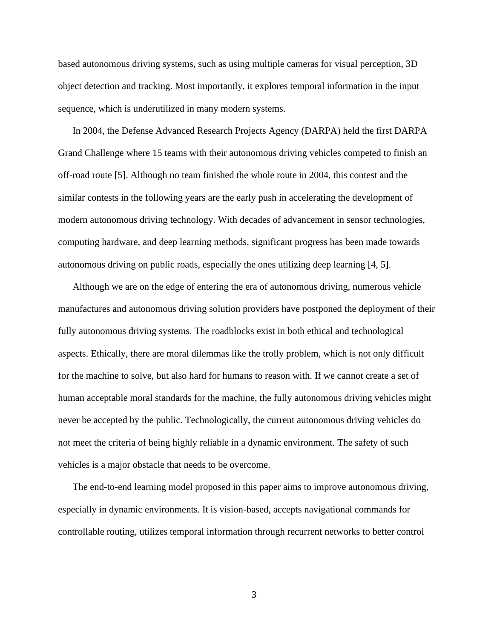based autonomous driving systems, such as using multiple cameras for visual perception, 3D object detection and tracking. Most importantly, it explores temporal information in the input sequence, which is underutilized in many modern systems.

In 2004, the Defense Advanced Research Projects Agency (DARPA) held the first DARPA Grand Challenge where 15 teams with their autonomous driving vehicles competed to finish an off-road route [5]. Although no team finished the whole route in 2004, this contest and the similar contests in the following years are the early push in accelerating the development of modern autonomous driving technology. With decades of advancement in sensor technologies, computing hardware, and deep learning methods, significant progress has been made towards autonomous driving on public roads, especially the ones utilizing deep learning [4, 5].

Although we are on the edge of entering the era of autonomous driving, numerous vehicle manufactures and autonomous driving solution providers have postponed the deployment of their fully autonomous driving systems. The roadblocks exist in both ethical and technological aspects. Ethically, there are moral dilemmas like the trolly problem, which is not only difficult for the machine to solve, but also hard for humans to reason with. If we cannot create a set of human acceptable moral standards for the machine, the fully autonomous driving vehicles might never be accepted by the public. Technologically, the current autonomous driving vehicles do not meet the criteria of being highly reliable in a dynamic environment. The safety of such vehicles is a major obstacle that needs to be overcome.

The end-to-end learning model proposed in this paper aims to improve autonomous driving, especially in dynamic environments. It is vision-based, accepts navigational commands for controllable routing, utilizes temporal information through recurrent networks to better control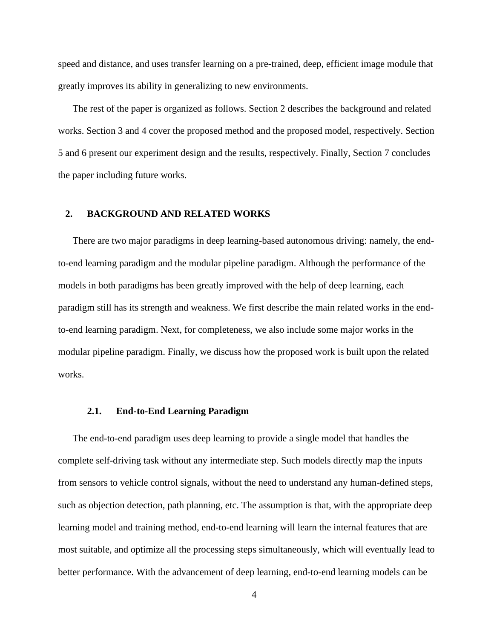speed and distance, and uses transfer learning on a pre-trained, deep, efficient image module that greatly improves its ability in generalizing to new environments.

The rest of the paper is organized as follows. Section 2 describes the background and related works. Section 3 and 4 cover the proposed method and the proposed model, respectively. Section 5 and 6 present our experiment design and the results, respectively. Finally, Section 7 concludes the paper including future works.

# <span id="page-10-0"></span>**2. BACKGROUND AND RELATED WORKS**

There are two major paradigms in deep learning-based autonomous driving: namely, the endto-end learning paradigm and the modular pipeline paradigm. Although the performance of the models in both paradigms has been greatly improved with the help of deep learning, each paradigm still has its strength and weakness. We first describe the main related works in the endto-end learning paradigm. Next, for completeness, we also include some major works in the modular pipeline paradigm. Finally, we discuss how the proposed work is built upon the related works.

#### <span id="page-10-1"></span>**2.1. End-to-End Learning Paradigm**

The end-to-end paradigm uses deep learning to provide a single model that handles the complete self-driving task without any intermediate step. Such models directly map the inputs from sensors to vehicle control signals, without the need to understand any human-defined steps, such as objection detection, path planning, etc. The assumption is that, with the appropriate deep learning model and training method, end-to-end learning will learn the internal features that are most suitable, and optimize all the processing steps simultaneously, which will eventually lead to better performance. With the advancement of deep learning, end-to-end learning models can be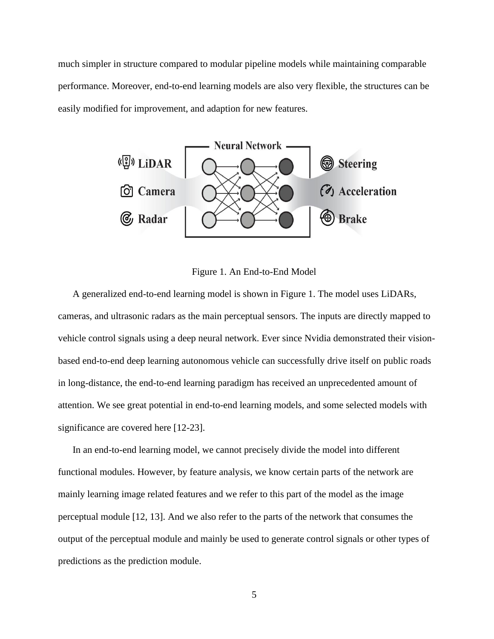much simpler in structure compared to modular pipeline models while maintaining comparable performance. Moreover, end-to-end learning models are also very flexible, the structures can be easily modified for improvement, and adaption for new features.



Figure 1. An End-to-End Model

A generalized end-to-end learning model is shown in Figure 1. The model uses LiDARs, cameras, and ultrasonic radars as the main perceptual sensors. The inputs are directly mapped to vehicle control signals using a deep neural network. Ever since Nvidia demonstrated their visionbased end-to-end deep learning autonomous vehicle can successfully drive itself on public roads in long-distance, the end-to-end learning paradigm has received an unprecedented amount of attention. We see great potential in end-to-end learning models, and some selected models with significance are covered here [12-23].

In an end-to-end learning model, we cannot precisely divide the model into different functional modules. However, by feature analysis, we know certain parts of the network are mainly learning image related features and we refer to this part of the model as the image perceptual module [12, 13]. And we also refer to the parts of the network that consumes the output of the perceptual module and mainly be used to generate control signals or other types of predictions as the prediction module.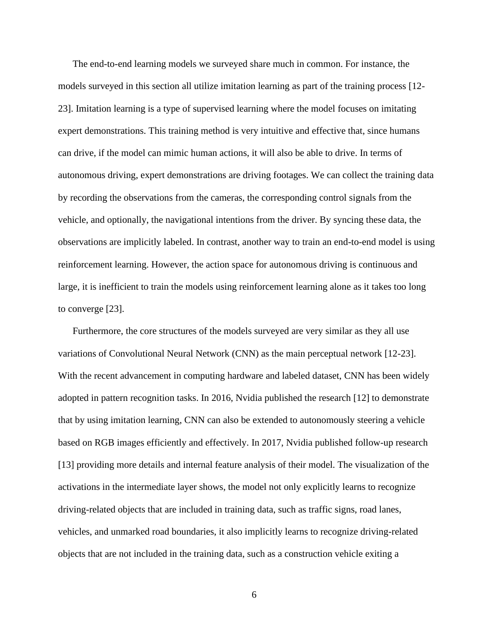The end-to-end learning models we surveyed share much in common. For instance, the models surveyed in this section all utilize imitation learning as part of the training process [12- 23]. Imitation learning is a type of supervised learning where the model focuses on imitating expert demonstrations. This training method is very intuitive and effective that, since humans can drive, if the model can mimic human actions, it will also be able to drive. In terms of autonomous driving, expert demonstrations are driving footages. We can collect the training data by recording the observations from the cameras, the corresponding control signals from the vehicle, and optionally, the navigational intentions from the driver. By syncing these data, the observations are implicitly labeled. In contrast, another way to train an end-to-end model is using reinforcement learning. However, the action space for autonomous driving is continuous and large, it is inefficient to train the models using reinforcement learning alone as it takes too long to converge [23].

Furthermore, the core structures of the models surveyed are very similar as they all use variations of Convolutional Neural Network (CNN) as the main perceptual network [12-23]. With the recent advancement in computing hardware and labeled dataset, CNN has been widely adopted in pattern recognition tasks. In 2016, Nvidia published the research [12] to demonstrate that by using imitation learning, CNN can also be extended to autonomously steering a vehicle based on RGB images efficiently and effectively. In 2017, Nvidia published follow-up research [13] providing more details and internal feature analysis of their model. The visualization of the activations in the intermediate layer shows, the model not only explicitly learns to recognize driving-related objects that are included in training data, such as traffic signs, road lanes, vehicles, and unmarked road boundaries, it also implicitly learns to recognize driving-related objects that are not included in the training data, such as a construction vehicle exiting a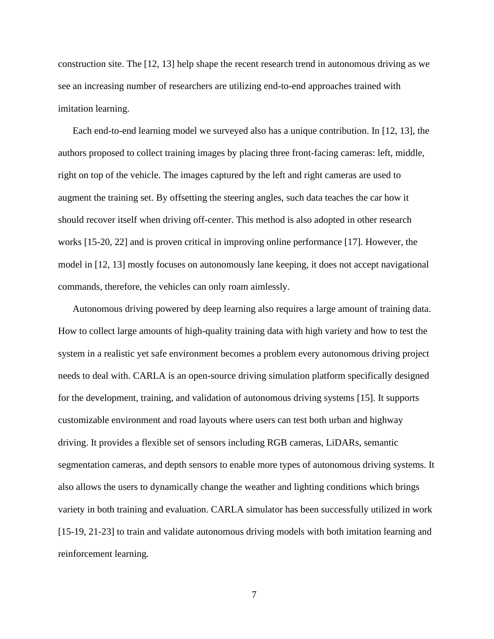construction site. The [12, 13] help shape the recent research trend in autonomous driving as we see an increasing number of researchers are utilizing end-to-end approaches trained with imitation learning.

Each end-to-end learning model we surveyed also has a unique contribution. In [12, 13], the authors proposed to collect training images by placing three front-facing cameras: left, middle, right on top of the vehicle. The images captured by the left and right cameras are used to augment the training set. By offsetting the steering angles, such data teaches the car how it should recover itself when driving off-center. This method is also adopted in other research works [15-20, 22] and is proven critical in improving online performance [17]. However, the model in [12, 13] mostly focuses on autonomously lane keeping, it does not accept navigational commands, therefore, the vehicles can only roam aimlessly.

Autonomous driving powered by deep learning also requires a large amount of training data. How to collect large amounts of high-quality training data with high variety and how to test the system in a realistic yet safe environment becomes a problem every autonomous driving project needs to deal with. CARLA is an open-source driving simulation platform specifically designed for the development, training, and validation of autonomous driving systems [15]. It supports customizable environment and road layouts where users can test both urban and highway driving. It provides a flexible set of sensors including RGB cameras, LiDARs, semantic segmentation cameras, and depth sensors to enable more types of autonomous driving systems. It also allows the users to dynamically change the weather and lighting conditions which brings variety in both training and evaluation. CARLA simulator has been successfully utilized in work [15-19, 21-23] to train and validate autonomous driving models with both imitation learning and reinforcement learning.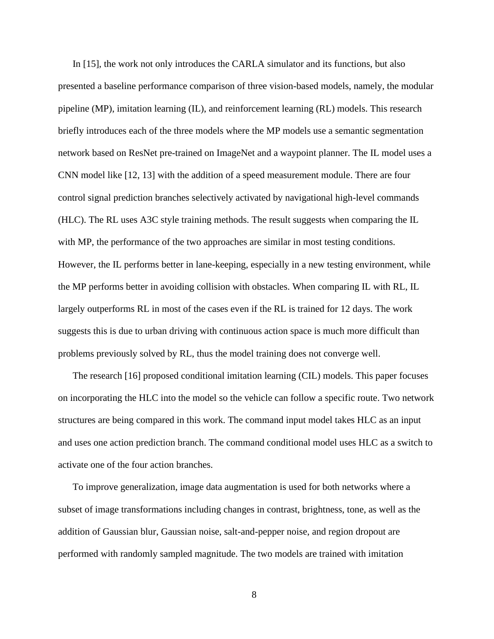In [15], the work not only introduces the CARLA simulator and its functions, but also presented a baseline performance comparison of three vision-based models, namely, the modular pipeline (MP), imitation learning (IL), and reinforcement learning (RL) models. This research briefly introduces each of the three models where the MP models use a semantic segmentation network based on ResNet pre-trained on ImageNet and a waypoint planner. The IL model uses a CNN model like [12, 13] with the addition of a speed measurement module. There are four control signal prediction branches selectively activated by navigational high-level commands (HLC). The RL uses A3C style training methods. The result suggests when comparing the IL with MP, the performance of the two approaches are similar in most testing conditions. However, the IL performs better in lane-keeping, especially in a new testing environment, while the MP performs better in avoiding collision with obstacles. When comparing IL with RL, IL largely outperforms RL in most of the cases even if the RL is trained for 12 days. The work suggests this is due to urban driving with continuous action space is much more difficult than problems previously solved by RL, thus the model training does not converge well.

The research [16] proposed conditional imitation learning (CIL) models. This paper focuses on incorporating the HLC into the model so the vehicle can follow a specific route. Two network structures are being compared in this work. The command input model takes HLC as an input and uses one action prediction branch. The command conditional model uses HLC as a switch to activate one of the four action branches.

To improve generalization, image data augmentation is used for both networks where a subset of image transformations including changes in contrast, brightness, tone, as well as the addition of Gaussian blur, Gaussian noise, salt-and-pepper noise, and region dropout are performed with randomly sampled magnitude. The two models are trained with imitation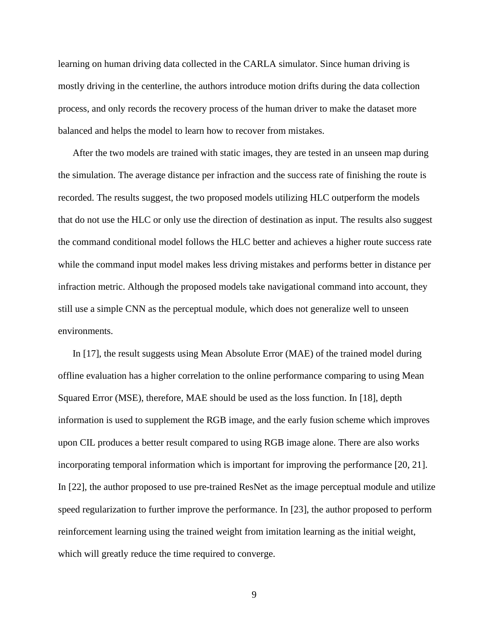learning on human driving data collected in the CARLA simulator. Since human driving is mostly driving in the centerline, the authors introduce motion drifts during the data collection process, and only records the recovery process of the human driver to make the dataset more balanced and helps the model to learn how to recover from mistakes.

After the two models are trained with static images, they are tested in an unseen map during the simulation. The average distance per infraction and the success rate of finishing the route is recorded. The results suggest, the two proposed models utilizing HLC outperform the models that do not use the HLC or only use the direction of destination as input. The results also suggest the command conditional model follows the HLC better and achieves a higher route success rate while the command input model makes less driving mistakes and performs better in distance per infraction metric. Although the proposed models take navigational command into account, they still use a simple CNN as the perceptual module, which does not generalize well to unseen environments.

In [17], the result suggests using Mean Absolute Error (MAE) of the trained model during offline evaluation has a higher correlation to the online performance comparing to using Mean Squared Error (MSE), therefore, MAE should be used as the loss function. In [18], depth information is used to supplement the RGB image, and the early fusion scheme which improves upon CIL produces a better result compared to using RGB image alone. There are also works incorporating temporal information which is important for improving the performance [20, 21]. In [22], the author proposed to use pre-trained ResNet as the image perceptual module and utilize speed regularization to further improve the performance. In [23], the author proposed to perform reinforcement learning using the trained weight from imitation learning as the initial weight, which will greatly reduce the time required to converge.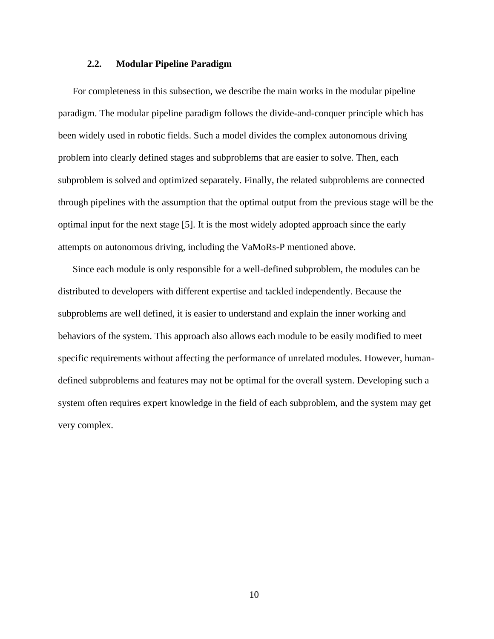# **2.2. Modular Pipeline Paradigm**

<span id="page-16-0"></span>For completeness in this subsection, we describe the main works in the modular pipeline paradigm. The modular pipeline paradigm follows the divide-and-conquer principle which has been widely used in robotic fields. Such a model divides the complex autonomous driving problem into clearly defined stages and subproblems that are easier to solve. Then, each subproblem is solved and optimized separately. Finally, the related subproblems are connected through pipelines with the assumption that the optimal output from the previous stage will be the optimal input for the next stage [5]. It is the most widely adopted approach since the early attempts on autonomous driving, including the VaMoRs-P mentioned above.

Since each module is only responsible for a well-defined subproblem, the modules can be distributed to developers with different expertise and tackled independently. Because the subproblems are well defined, it is easier to understand and explain the inner working and behaviors of the system. This approach also allows each module to be easily modified to meet specific requirements without affecting the performance of unrelated modules. However, humandefined subproblems and features may not be optimal for the overall system. Developing such a system often requires expert knowledge in the field of each subproblem, and the system may get very complex.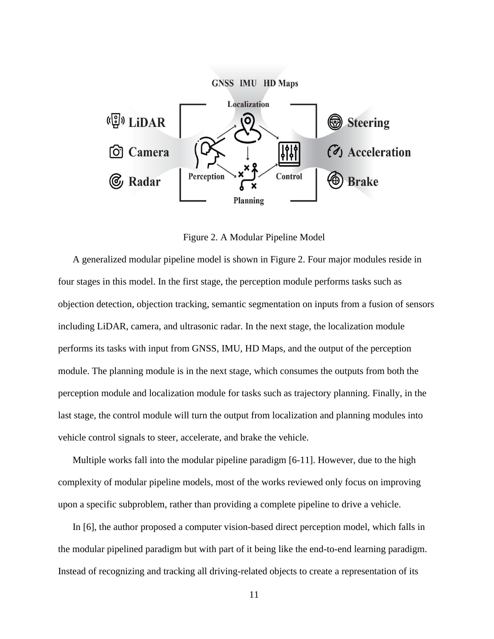

Figure 2. A Modular Pipeline Model

A generalized modular pipeline model is shown in Figure 2. Four major modules reside in four stages in this model. In the first stage, the perception module performs tasks such as objection detection, objection tracking, semantic segmentation on inputs from a fusion of sensors including LiDAR, camera, and ultrasonic radar. In the next stage, the localization module performs its tasks with input from GNSS, IMU, HD Maps, and the output of the perception module. The planning module is in the next stage, which consumes the outputs from both the perception module and localization module for tasks such as trajectory planning. Finally, in the last stage, the control module will turn the output from localization and planning modules into vehicle control signals to steer, accelerate, and brake the vehicle.

Multiple works fall into the modular pipeline paradigm [6-11]. However, due to the high complexity of modular pipeline models, most of the works reviewed only focus on improving upon a specific subproblem, rather than providing a complete pipeline to drive a vehicle.

In [6], the author proposed a computer vision-based direct perception model, which falls in the modular pipelined paradigm but with part of it being like the end-to-end learning paradigm. Instead of recognizing and tracking all driving-related objects to create a representation of its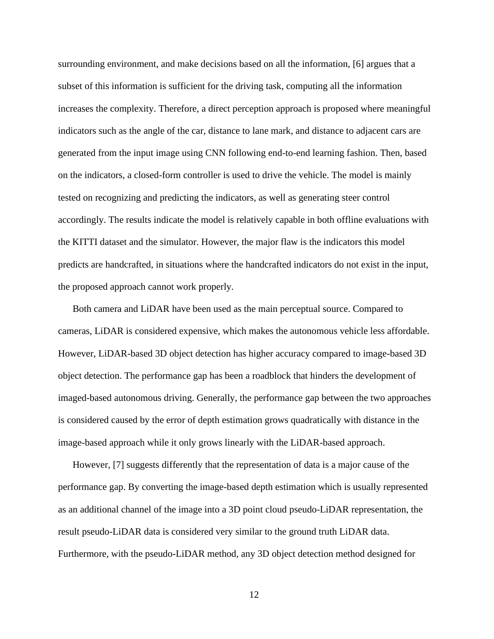surrounding environment, and make decisions based on all the information, [6] argues that a subset of this information is sufficient for the driving task, computing all the information increases the complexity. Therefore, a direct perception approach is proposed where meaningful indicators such as the angle of the car, distance to lane mark, and distance to adjacent cars are generated from the input image using CNN following end-to-end learning fashion. Then, based on the indicators, a closed-form controller is used to drive the vehicle. The model is mainly tested on recognizing and predicting the indicators, as well as generating steer control accordingly. The results indicate the model is relatively capable in both offline evaluations with the KITTI dataset and the simulator. However, the major flaw is the indicators this model predicts are handcrafted, in situations where the handcrafted indicators do not exist in the input, the proposed approach cannot work properly.

Both camera and LiDAR have been used as the main perceptual source. Compared to cameras, LiDAR is considered expensive, which makes the autonomous vehicle less affordable. However, LiDAR-based 3D object detection has higher accuracy compared to image-based 3D object detection. The performance gap has been a roadblock that hinders the development of imaged-based autonomous driving. Generally, the performance gap between the two approaches is considered caused by the error of depth estimation grows quadratically with distance in the image-based approach while it only grows linearly with the LiDAR-based approach.

However, [7] suggests differently that the representation of data is a major cause of the performance gap. By converting the image-based depth estimation which is usually represented as an additional channel of the image into a 3D point cloud pseudo-LiDAR representation, the result pseudo-LiDAR data is considered very similar to the ground truth LiDAR data. Furthermore, with the pseudo-LiDAR method, any 3D object detection method designed for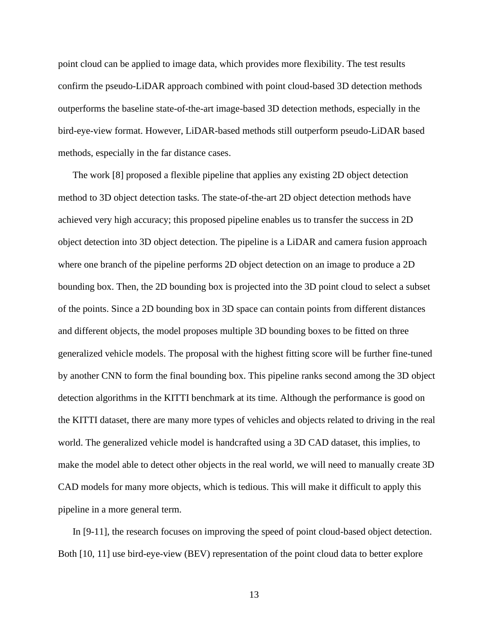point cloud can be applied to image data, which provides more flexibility. The test results confirm the pseudo-LiDAR approach combined with point cloud-based 3D detection methods outperforms the baseline state-of-the-art image-based 3D detection methods, especially in the bird-eye-view format. However, LiDAR-based methods still outperform pseudo-LiDAR based methods, especially in the far distance cases.

The work [8] proposed a flexible pipeline that applies any existing 2D object detection method to 3D object detection tasks. The state-of-the-art 2D object detection methods have achieved very high accuracy; this proposed pipeline enables us to transfer the success in 2D object detection into 3D object detection. The pipeline is a LiDAR and camera fusion approach where one branch of the pipeline performs 2D object detection on an image to produce a 2D bounding box. Then, the 2D bounding box is projected into the 3D point cloud to select a subset of the points. Since a 2D bounding box in 3D space can contain points from different distances and different objects, the model proposes multiple 3D bounding boxes to be fitted on three generalized vehicle models. The proposal with the highest fitting score will be further fine-tuned by another CNN to form the final bounding box. This pipeline ranks second among the 3D object detection algorithms in the KITTI benchmark at its time. Although the performance is good on the KITTI dataset, there are many more types of vehicles and objects related to driving in the real world. The generalized vehicle model is handcrafted using a 3D CAD dataset, this implies, to make the model able to detect other objects in the real world, we will need to manually create 3D CAD models for many more objects, which is tedious. This will make it difficult to apply this pipeline in a more general term.

In [9-11], the research focuses on improving the speed of point cloud-based object detection. Both [10, 11] use bird-eye-view (BEV) representation of the point cloud data to better explore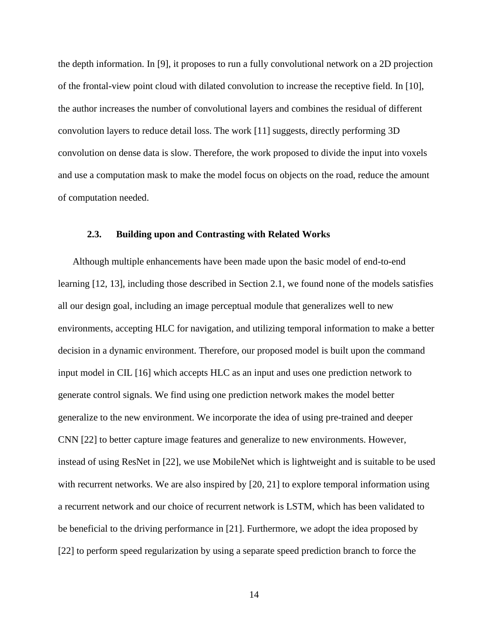the depth information. In [9], it proposes to run a fully convolutional network on a 2D projection of the frontal-view point cloud with dilated convolution to increase the receptive field. In [10], the author increases the number of convolutional layers and combines the residual of different convolution layers to reduce detail loss. The work [11] suggests, directly performing 3D convolution on dense data is slow. Therefore, the work proposed to divide the input into voxels and use a computation mask to make the model focus on objects on the road, reduce the amount of computation needed.

#### <span id="page-20-0"></span>**2.3. Building upon and Contrasting with Related Works**

Although multiple enhancements have been made upon the basic model of end-to-end learning [12, 13], including those described in Section 2.1, we found none of the models satisfies all our design goal, including an image perceptual module that generalizes well to new environments, accepting HLC for navigation, and utilizing temporal information to make a better decision in a dynamic environment. Therefore, our proposed model is built upon the command input model in CIL [16] which accepts HLC as an input and uses one prediction network to generate control signals. We find using one prediction network makes the model better generalize to the new environment. We incorporate the idea of using pre-trained and deeper CNN [22] to better capture image features and generalize to new environments. However, instead of using ResNet in [22], we use MobileNet which is lightweight and is suitable to be used with recurrent networks. We are also inspired by [20, 21] to explore temporal information using a recurrent network and our choice of recurrent network is LSTM, which has been validated to be beneficial to the driving performance in [21]. Furthermore, we adopt the idea proposed by [22] to perform speed regularization by using a separate speed prediction branch to force the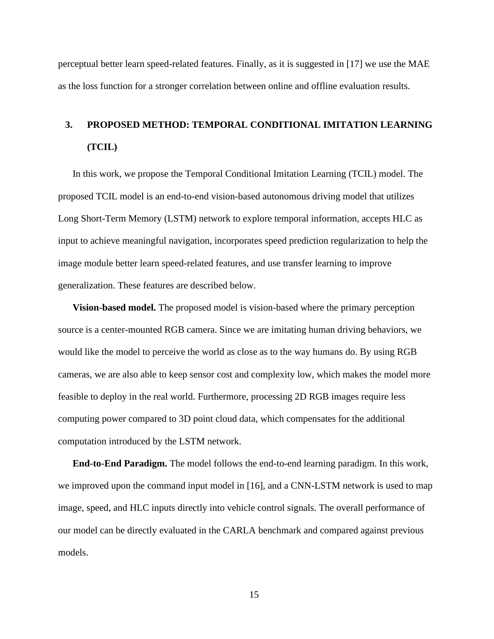perceptual better learn speed-related features. Finally, as it is suggested in [17] we use the MAE as the loss function for a stronger correlation between online and offline evaluation results.

# <span id="page-21-0"></span>**3. PROPOSED METHOD: TEMPORAL CONDITIONAL IMITATION LEARNING (TCIL)**

In this work, we propose the Temporal Conditional Imitation Learning (TCIL) model. The proposed TCIL model is an end-to-end vision-based autonomous driving model that utilizes Long Short-Term Memory (LSTM) network to explore temporal information, accepts HLC as input to achieve meaningful navigation, incorporates speed prediction regularization to help the image module better learn speed-related features, and use transfer learning to improve generalization. These features are described below.

**Vision-based model.** The proposed model is vision-based where the primary perception source is a center-mounted RGB camera. Since we are imitating human driving behaviors, we would like the model to perceive the world as close as to the way humans do. By using RGB cameras, we are also able to keep sensor cost and complexity low, which makes the model more feasible to deploy in the real world. Furthermore, processing 2D RGB images require less computing power compared to 3D point cloud data, which compensates for the additional computation introduced by the LSTM network.

**End-to-End Paradigm.** The model follows the end-to-end learning paradigm. In this work, we improved upon the command input model in [16], and a CNN-LSTM network is used to map image, speed, and HLC inputs directly into vehicle control signals. The overall performance of our model can be directly evaluated in the CARLA benchmark and compared against previous models.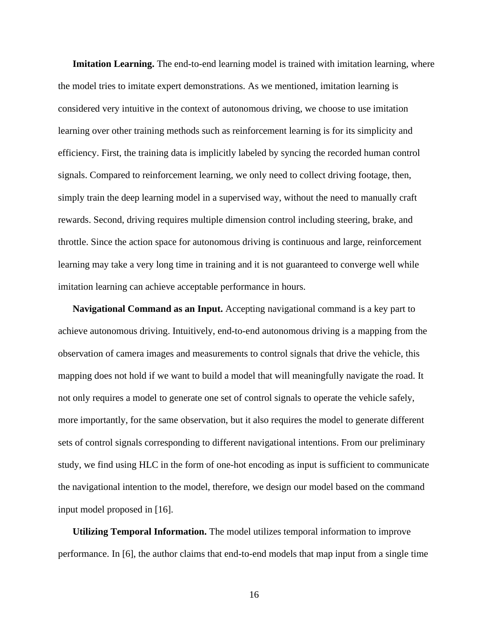**Imitation Learning.** The end-to-end learning model is trained with imitation learning, where the model tries to imitate expert demonstrations. As we mentioned, imitation learning is considered very intuitive in the context of autonomous driving, we choose to use imitation learning over other training methods such as reinforcement learning is for its simplicity and efficiency. First, the training data is implicitly labeled by syncing the recorded human control signals. Compared to reinforcement learning, we only need to collect driving footage, then, simply train the deep learning model in a supervised way, without the need to manually craft rewards. Second, driving requires multiple dimension control including steering, brake, and throttle. Since the action space for autonomous driving is continuous and large, reinforcement learning may take a very long time in training and it is not guaranteed to converge well while imitation learning can achieve acceptable performance in hours.

**Navigational Command as an Input.** Accepting navigational command is a key part to achieve autonomous driving. Intuitively, end-to-end autonomous driving is a mapping from the observation of camera images and measurements to control signals that drive the vehicle, this mapping does not hold if we want to build a model that will meaningfully navigate the road. It not only requires a model to generate one set of control signals to operate the vehicle safely, more importantly, for the same observation, but it also requires the model to generate different sets of control signals corresponding to different navigational intentions. From our preliminary study, we find using HLC in the form of one-hot encoding as input is sufficient to communicate the navigational intention to the model, therefore, we design our model based on the command input model proposed in [16].

**Utilizing Temporal Information.** The model utilizes temporal information to improve performance. In [6], the author claims that end-to-end models that map input from a single time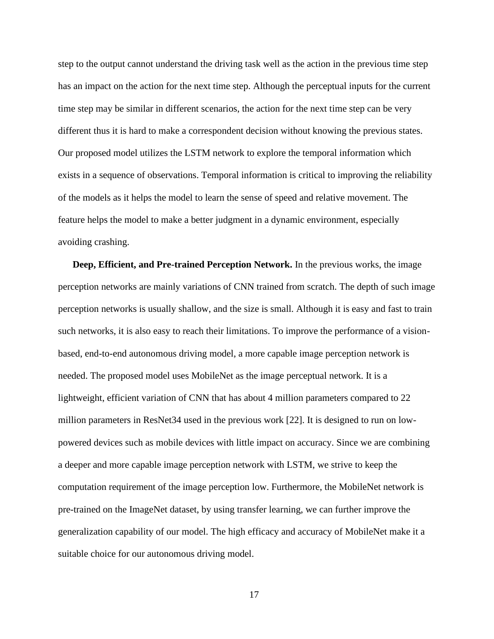step to the output cannot understand the driving task well as the action in the previous time step has an impact on the action for the next time step. Although the perceptual inputs for the current time step may be similar in different scenarios, the action for the next time step can be very different thus it is hard to make a correspondent decision without knowing the previous states. Our proposed model utilizes the LSTM network to explore the temporal information which exists in a sequence of observations. Temporal information is critical to improving the reliability of the models as it helps the model to learn the sense of speed and relative movement. The feature helps the model to make a better judgment in a dynamic environment, especially avoiding crashing.

**Deep, Efficient, and Pre-trained Perception Network.** In the previous works, the image perception networks are mainly variations of CNN trained from scratch. The depth of such image perception networks is usually shallow, and the size is small. Although it is easy and fast to train such networks, it is also easy to reach their limitations. To improve the performance of a visionbased, end-to-end autonomous driving model, a more capable image perception network is needed. The proposed model uses MobileNet as the image perceptual network. It is a lightweight, efficient variation of CNN that has about 4 million parameters compared to 22 million parameters in ResNet34 used in the previous work [22]. It is designed to run on lowpowered devices such as mobile devices with little impact on accuracy. Since we are combining a deeper and more capable image perception network with LSTM, we strive to keep the computation requirement of the image perception low. Furthermore, the MobileNet network is pre-trained on the ImageNet dataset, by using transfer learning, we can further improve the generalization capability of our model. The high efficacy and accuracy of MobileNet make it a suitable choice for our autonomous driving model.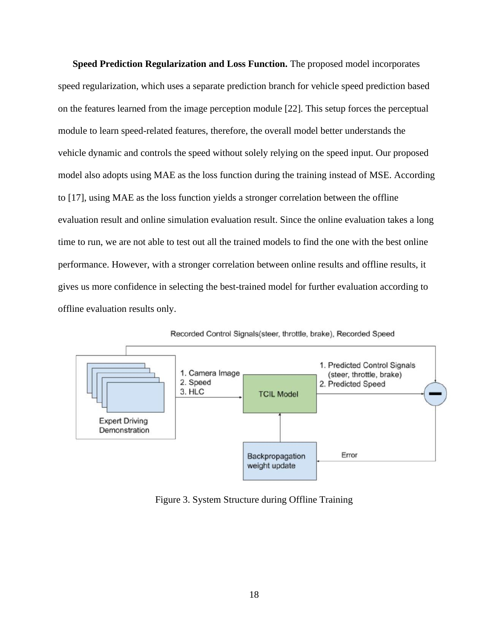**Speed Prediction Regularization and Loss Function.** The proposed model incorporates speed regularization, which uses a separate prediction branch for vehicle speed prediction based on the features learned from the image perception module [22]. This setup forces the perceptual module to learn speed-related features, therefore, the overall model better understands the vehicle dynamic and controls the speed without solely relying on the speed input. Our proposed model also adopts using MAE as the loss function during the training instead of MSE. According to [17], using MAE as the loss function yields a stronger correlation between the offline evaluation result and online simulation evaluation result. Since the online evaluation takes a long time to run, we are not able to test out all the trained models to find the one with the best online performance. However, with a stronger correlation between online results and offline results, it gives us more confidence in selecting the best-trained model for further evaluation according to offline evaluation results only.



Recorded Control Signals(steer, throttle, brake), Recorded Speed

Figure 3. System Structure during Offline Training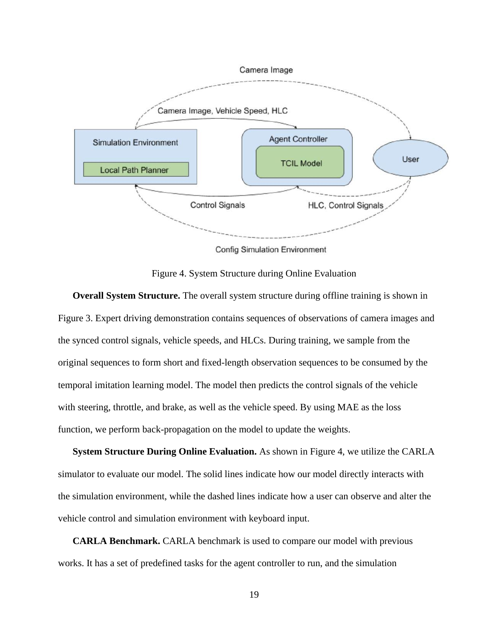

Config Simulation Environment

Figure 4. System Structure during Online Evaluation

**Overall System Structure.** The overall system structure during offline training is shown in Figure 3. Expert driving demonstration contains sequences of observations of camera images and the synced control signals, vehicle speeds, and HLCs. During training, we sample from the original sequences to form short and fixed-length observation sequences to be consumed by the temporal imitation learning model. The model then predicts the control signals of the vehicle with steering, throttle, and brake, as well as the vehicle speed. By using MAE as the loss function, we perform back-propagation on the model to update the weights.

**System Structure During Online Evaluation.** As shown in Figure 4, we utilize the CARLA simulator to evaluate our model. The solid lines indicate how our model directly interacts with the simulation environment, while the dashed lines indicate how a user can observe and alter the vehicle control and simulation environment with keyboard input.

**CARLA Benchmark.** CARLA benchmark is used to compare our model with previous works. It has a set of predefined tasks for the agent controller to run, and the simulation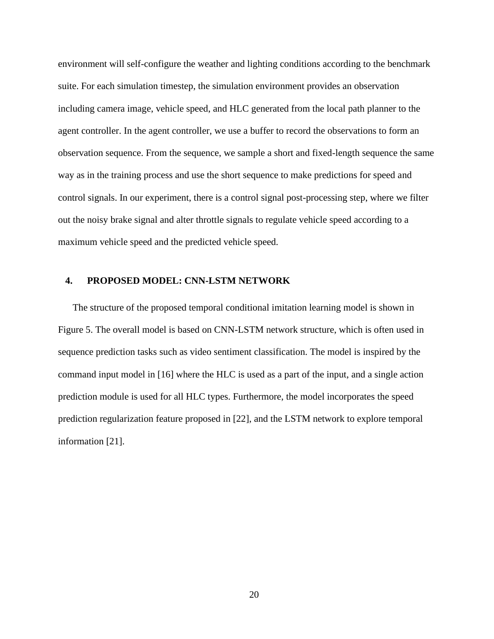environment will self-configure the weather and lighting conditions according to the benchmark suite. For each simulation timestep, the simulation environment provides an observation including camera image, vehicle speed, and HLC generated from the local path planner to the agent controller. In the agent controller, we use a buffer to record the observations to form an observation sequence. From the sequence, we sample a short and fixed-length sequence the same way as in the training process and use the short sequence to make predictions for speed and control signals. In our experiment, there is a control signal post-processing step, where we filter out the noisy brake signal and alter throttle signals to regulate vehicle speed according to a maximum vehicle speed and the predicted vehicle speed.

## <span id="page-26-0"></span>**4. PROPOSED MODEL: CNN-LSTM NETWORK**

The structure of the proposed temporal conditional imitation learning model is shown in Figure 5. The overall model is based on CNN-LSTM network structure, which is often used in sequence prediction tasks such as video sentiment classification. The model is inspired by the command input model in [16] where the HLC is used as a part of the input, and a single action prediction module is used for all HLC types. Furthermore, the model incorporates the speed prediction regularization feature proposed in [22], and the LSTM network to explore temporal information [21].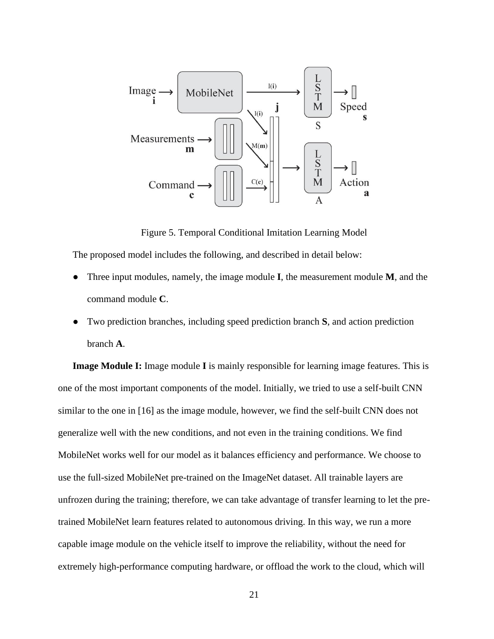

Figure 5. Temporal Conditional Imitation Learning Model

The proposed model includes the following, and described in detail below:

- Three input modules, namely, the image module **I**, the measurement module **M**, and the command module **C**.
- Two prediction branches, including speed prediction branch **S**, and action prediction branch **A**.

**Image Module I:** Image module **I** is mainly responsible for learning image features. This is one of the most important components of the model. Initially, we tried to use a self-built CNN similar to the one in [16] as the image module, however, we find the self-built CNN does not generalize well with the new conditions, and not even in the training conditions. We find MobileNet works well for our model as it balances efficiency and performance. We choose to use the full-sized MobileNet pre-trained on the ImageNet dataset. All trainable layers are unfrozen during the training; therefore, we can take advantage of transfer learning to let the pretrained MobileNet learn features related to autonomous driving. In this way, we run a more capable image module on the vehicle itself to improve the reliability, without the need for extremely high-performance computing hardware, or offload the work to the cloud, which will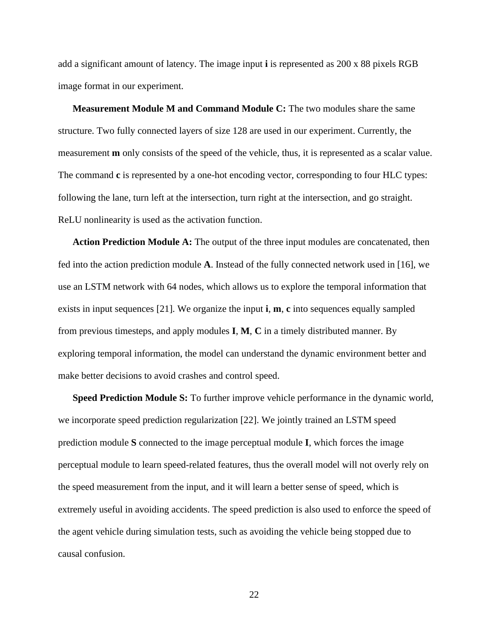add a significant amount of latency. The image input **i** is represented as 200 x 88 pixels RGB image format in our experiment.

**Measurement Module M and Command Module C:** The two modules share the same structure. Two fully connected layers of size 128 are used in our experiment. Currently, the measurement **m** only consists of the speed of the vehicle, thus, it is represented as a scalar value. The command **c** is represented by a one-hot encoding vector, corresponding to four HLC types: following the lane, turn left at the intersection, turn right at the intersection, and go straight. ReLU nonlinearity is used as the activation function.

**Action Prediction Module A:** The output of the three input modules are concatenated, then fed into the action prediction module **A**. Instead of the fully connected network used in [16], we use an LSTM network with 64 nodes, which allows us to explore the temporal information that exists in input sequences [21]. We organize the input **i**, **m**, **c** into sequences equally sampled from previous timesteps, and apply modules **I**, **M**, **C** in a timely distributed manner. By exploring temporal information, the model can understand the dynamic environment better and make better decisions to avoid crashes and control speed.

**Speed Prediction Module S:** To further improve vehicle performance in the dynamic world, we incorporate speed prediction regularization [22]. We jointly trained an LSTM speed prediction module **S** connected to the image perceptual module **I**, which forces the image perceptual module to learn speed-related features, thus the overall model will not overly rely on the speed measurement from the input, and it will learn a better sense of speed, which is extremely useful in avoiding accidents. The speed prediction is also used to enforce the speed of the agent vehicle during simulation tests, such as avoiding the vehicle being stopped due to causal confusion.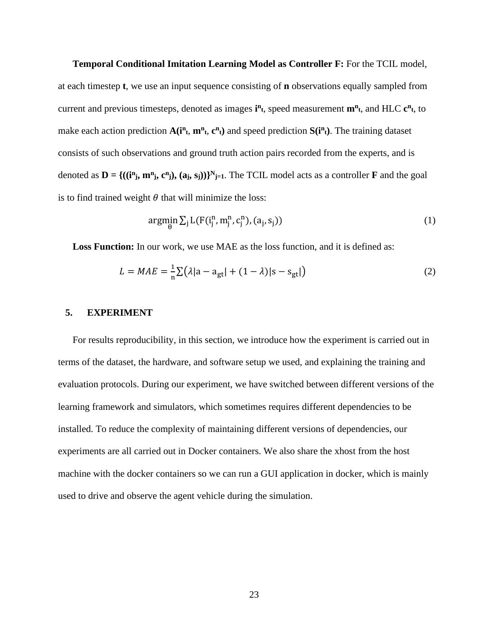**Temporal Conditional Imitation Learning Model as Controller F:** For the TCIL model, at each timestep **t**, we use an input sequence consisting of **n** observations equally sampled from current and previous timesteps, denoted as images  $i^n$ , speed measurement  $m^n$ , and HLC  $c^n$ , to make each action prediction  $\mathbf{A}(\mathbf{i}^n_t, \mathbf{m}^n_t, \mathbf{c}^n_t)$  and speed prediction  $\mathbf{S}(\mathbf{i}^n_t)$ . The training dataset consists of such observations and ground truth action pairs recorded from the experts, and is denoted as  $\mathbf{D} = \{((\mathbf{i}^n_j, \mathbf{m}^n_j, \mathbf{c}^n_j), (\mathbf{a}_j, \mathbf{s}_j))\}^{N_{j=1}}$ . The TCIL model acts as a controller **F** and the goal is to find trained weight  $\theta$  that will minimize the loss:

$$
\underset{\theta}{\text{argmin}} \sum_{j} L(F(i_j^n, m_j^n, c_j^n), (a_j, s_j))
$$
\n(1)

**Loss Function:** In our work, we use MAE as the loss function, and it is defined as:

$$
L = MAE = \frac{1}{n} \sum (\lambda |a - a_{gt}| + (1 - \lambda) |s - s_{gt}|)
$$
\n(2)

# <span id="page-29-0"></span>**5. EXPERIMENT**

For results reproducibility, in this section, we introduce how the experiment is carried out in terms of the dataset, the hardware, and software setup we used, and explaining the training and evaluation protocols. During our experiment, we have switched between different versions of the learning framework and simulators, which sometimes requires different dependencies to be installed. To reduce the complexity of maintaining different versions of dependencies, our experiments are all carried out in Docker containers. We also share the xhost from the host machine with the docker containers so we can run a GUI application in docker, which is mainly used to drive and observe the agent vehicle during the simulation.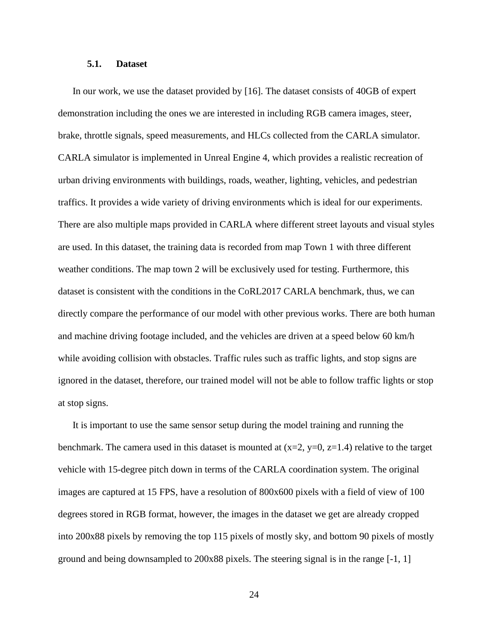#### **5.1. Dataset**

<span id="page-30-0"></span>In our work, we use the dataset provided by [16]. The dataset consists of 40GB of expert demonstration including the ones we are interested in including RGB camera images, steer, brake, throttle signals, speed measurements, and HLCs collected from the CARLA simulator. CARLA simulator is implemented in Unreal Engine 4, which provides a realistic recreation of urban driving environments with buildings, roads, weather, lighting, vehicles, and pedestrian traffics. It provides a wide variety of driving environments which is ideal for our experiments. There are also multiple maps provided in CARLA where different street layouts and visual styles are used. In this dataset, the training data is recorded from map Town 1 with three different weather conditions. The map town 2 will be exclusively used for testing. Furthermore, this dataset is consistent with the conditions in the CoRL2017 CARLA benchmark, thus, we can directly compare the performance of our model with other previous works. There are both human and machine driving footage included, and the vehicles are driven at a speed below 60 km/h while avoiding collision with obstacles. Traffic rules such as traffic lights, and stop signs are ignored in the dataset, therefore, our trained model will not be able to follow traffic lights or stop at stop signs.

It is important to use the same sensor setup during the model training and running the benchmark. The camera used in this dataset is mounted at  $(x=2, y=0, z=1.4)$  relative to the target vehicle with 15-degree pitch down in terms of the CARLA coordination system. The original images are captured at 15 FPS, have a resolution of 800x600 pixels with a field of view of 100 degrees stored in RGB format, however, the images in the dataset we get are already cropped into 200x88 pixels by removing the top 115 pixels of mostly sky, and bottom 90 pixels of mostly ground and being downsampled to 200x88 pixels. The steering signal is in the range [-1, 1]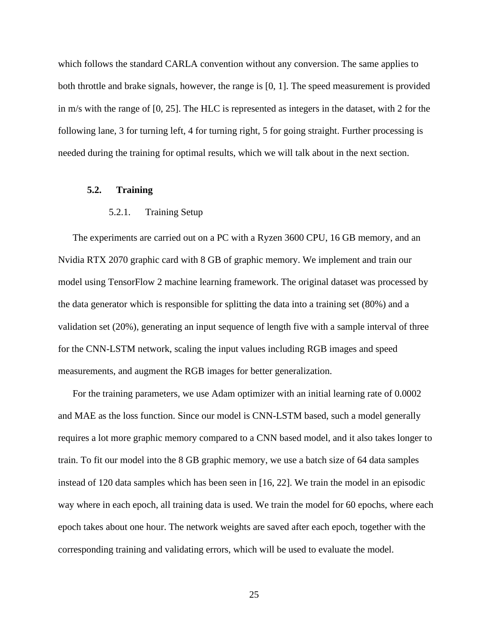which follows the standard CARLA convention without any conversion. The same applies to both throttle and brake signals, however, the range is [0, 1]. The speed measurement is provided in m/s with the range of [0, 25]. The HLC is represented as integers in the dataset, with 2 for the following lane, 3 for turning left, 4 for turning right, 5 for going straight. Further processing is needed during the training for optimal results, which we will talk about in the next section.

#### <span id="page-31-0"></span>**5.2. Training**

#### 5.2.1. Training Setup

<span id="page-31-1"></span>The experiments are carried out on a PC with a Ryzen 3600 CPU, 16 GB memory, and an Nvidia RTX 2070 graphic card with 8 GB of graphic memory. We implement and train our model using TensorFlow 2 machine learning framework. The original dataset was processed by the data generator which is responsible for splitting the data into a training set (80%) and a validation set (20%), generating an input sequence of length five with a sample interval of three for the CNN-LSTM network, scaling the input values including RGB images and speed measurements, and augment the RGB images for better generalization.

For the training parameters, we use Adam optimizer with an initial learning rate of 0.0002 and MAE as the loss function. Since our model is CNN-LSTM based, such a model generally requires a lot more graphic memory compared to a CNN based model, and it also takes longer to train. To fit our model into the 8 GB graphic memory, we use a batch size of 64 data samples instead of 120 data samples which has been seen in [16, 22]. We train the model in an episodic way where in each epoch, all training data is used. We train the model for 60 epochs, where each epoch takes about one hour. The network weights are saved after each epoch, together with the corresponding training and validating errors, which will be used to evaluate the model.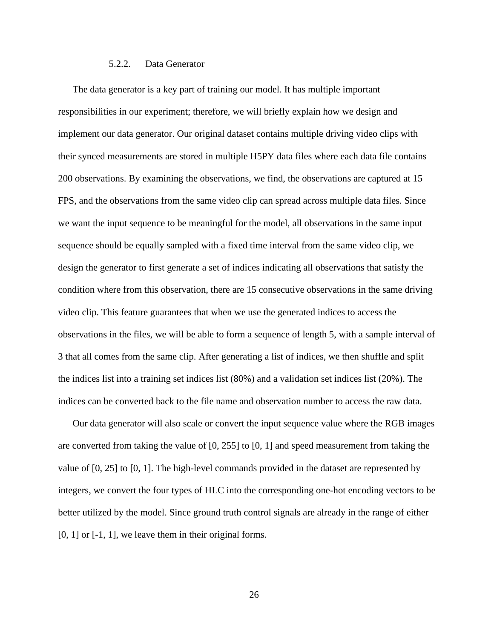#### 5.2.2. Data Generator

<span id="page-32-0"></span>The data generator is a key part of training our model. It has multiple important responsibilities in our experiment; therefore, we will briefly explain how we design and implement our data generator. Our original dataset contains multiple driving video clips with their synced measurements are stored in multiple H5PY data files where each data file contains 200 observations. By examining the observations, we find, the observations are captured at 15 FPS, and the observations from the same video clip can spread across multiple data files. Since we want the input sequence to be meaningful for the model, all observations in the same input sequence should be equally sampled with a fixed time interval from the same video clip, we design the generator to first generate a set of indices indicating all observations that satisfy the condition where from this observation, there are 15 consecutive observations in the same driving video clip. This feature guarantees that when we use the generated indices to access the observations in the files, we will be able to form a sequence of length 5, with a sample interval of 3 that all comes from the same clip. After generating a list of indices, we then shuffle and split the indices list into a training set indices list (80%) and a validation set indices list (20%). The indices can be converted back to the file name and observation number to access the raw data.

Our data generator will also scale or convert the input sequence value where the RGB images are converted from taking the value of [0, 255] to [0, 1] and speed measurement from taking the value of [0, 25] to [0, 1]. The high-level commands provided in the dataset are represented by integers, we convert the four types of HLC into the corresponding one-hot encoding vectors to be better utilized by the model. Since ground truth control signals are already in the range of either  $[0, 1]$  or  $[-1, 1]$ , we leave them in their original forms.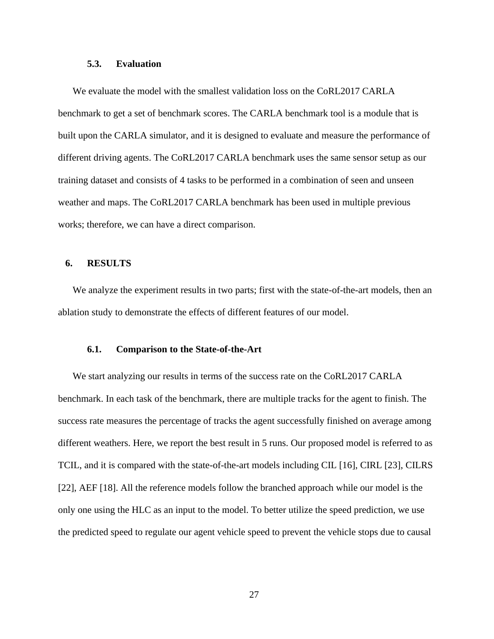## **5.3. Evaluation**

<span id="page-33-0"></span>We evaluate the model with the smallest validation loss on the CoRL2017 CARLA benchmark to get a set of benchmark scores. The CARLA benchmark tool is a module that is built upon the CARLA simulator, and it is designed to evaluate and measure the performance of different driving agents. The CoRL2017 CARLA benchmark uses the same sensor setup as our training dataset and consists of 4 tasks to be performed in a combination of seen and unseen weather and maps. The CoRL2017 CARLA benchmark has been used in multiple previous works; therefore, we can have a direct comparison.

#### <span id="page-33-1"></span>**6. RESULTS**

We analyze the experiment results in two parts; first with the state-of-the-art models, then an ablation study to demonstrate the effects of different features of our model.

## <span id="page-33-2"></span>**6.1. Comparison to the State-of-the-Art**

We start analyzing our results in terms of the success rate on the CoRL2017 CARLA benchmark. In each task of the benchmark, there are multiple tracks for the agent to finish. The success rate measures the percentage of tracks the agent successfully finished on average among different weathers. Here, we report the best result in 5 runs. Our proposed model is referred to as TCIL, and it is compared with the state-of-the-art models including CIL [16], CIRL [23], CILRS [22], AEF [18]. All the reference models follow the branched approach while our model is the only one using the HLC as an input to the model. To better utilize the speed prediction, we use the predicted speed to regulate our agent vehicle speed to prevent the vehicle stops due to causal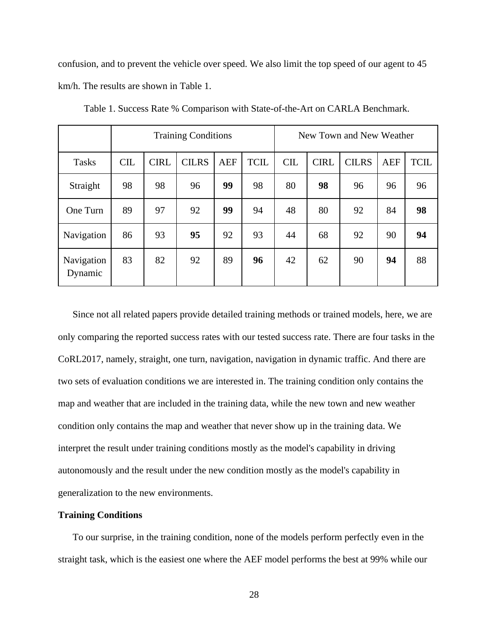confusion, and to prevent the vehicle over speed. We also limit the top speed of our agent to 45 km/h. The results are shown in Table 1.

|                       |    |             | <b>Training Conditions</b> |            | New Town and New Weather |    |             |              |            |             |
|-----------------------|----|-------------|----------------------------|------------|--------------------------|----|-------------|--------------|------------|-------------|
| <b>Tasks</b>          | CL | <b>CIRL</b> | <b>CILRS</b>               | <b>AEF</b> | <b>TCIL</b>              | CL | <b>CIRL</b> | <b>CILRS</b> | <b>AEF</b> | <b>TCIL</b> |
| Straight              | 98 | 98          | 96                         | 99         | 98                       | 80 | 98          | 96           | 96         | 96          |
| One Turn              | 89 | 97          | 92                         | 99         | 94                       | 48 | 80          | 92           | 84         | 98          |
| Navigation            | 86 | 93          | 95                         | 92         | 93                       | 44 | 68          | 92           | 90         | 94          |
| Navigation<br>Dynamic | 83 | 82          | 92                         | 89         | 96                       | 42 | 62          | 90           | 94         | 88          |

Table 1. Success Rate % Comparison with State-of-the-Art on CARLA Benchmark.

Since not all related papers provide detailed training methods or trained models, here, we are only comparing the reported success rates with our tested success rate. There are four tasks in the CoRL2017, namely, straight, one turn, navigation, navigation in dynamic traffic. And there are two sets of evaluation conditions we are interested in. The training condition only contains the map and weather that are included in the training data, while the new town and new weather condition only contains the map and weather that never show up in the training data. We interpret the result under training conditions mostly as the model's capability in driving autonomously and the result under the new condition mostly as the model's capability in generalization to the new environments.

## **Training Conditions**

To our surprise, in the training condition, none of the models perform perfectly even in the straight task, which is the easiest one where the AEF model performs the best at 99% while our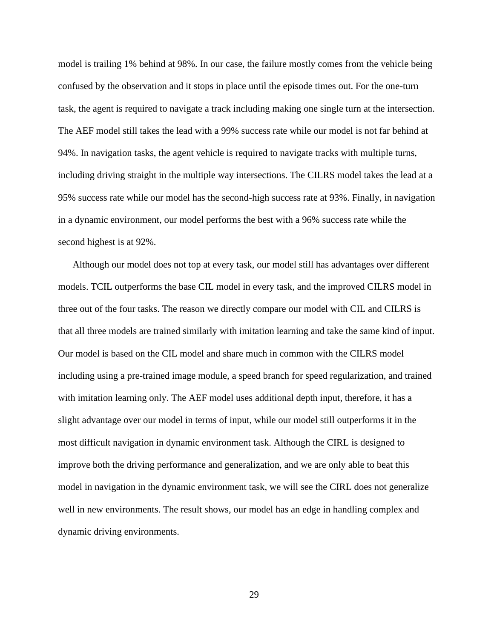model is trailing 1% behind at 98%. In our case, the failure mostly comes from the vehicle being confused by the observation and it stops in place until the episode times out. For the one-turn task, the agent is required to navigate a track including making one single turn at the intersection. The AEF model still takes the lead with a 99% success rate while our model is not far behind at 94%. In navigation tasks, the agent vehicle is required to navigate tracks with multiple turns, including driving straight in the multiple way intersections. The CILRS model takes the lead at a 95% success rate while our model has the second-high success rate at 93%. Finally, in navigation in a dynamic environment, our model performs the best with a 96% success rate while the second highest is at 92%.

Although our model does not top at every task, our model still has advantages over different models. TCIL outperforms the base CIL model in every task, and the improved CILRS model in three out of the four tasks. The reason we directly compare our model with CIL and CILRS is that all three models are trained similarly with imitation learning and take the same kind of input. Our model is based on the CIL model and share much in common with the CILRS model including using a pre-trained image module, a speed branch for speed regularization, and trained with imitation learning only. The AEF model uses additional depth input, therefore, it has a slight advantage over our model in terms of input, while our model still outperforms it in the most difficult navigation in dynamic environment task. Although the CIRL is designed to improve both the driving performance and generalization, and we are only able to beat this model in navigation in the dynamic environment task, we will see the CIRL does not generalize well in new environments. The result shows, our model has an edge in handling complex and dynamic driving environments.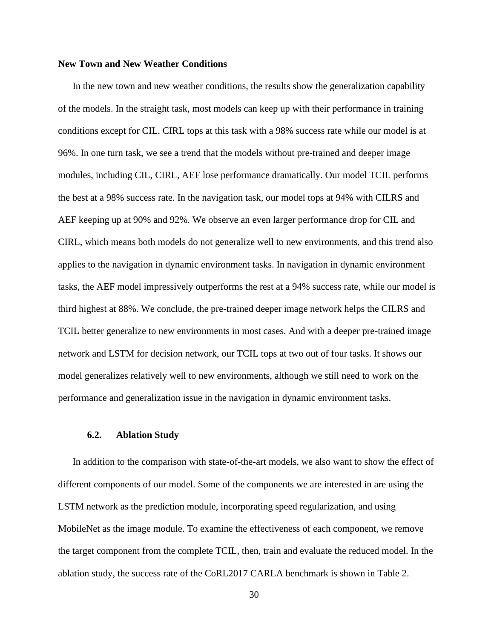#### **New Town and New Weather Conditions**

In the new town and new weather conditions, the results show the generalization capability of the models. In the straight task, most models can keep up with their performance in training conditions except for CIL. CIRL tops at this task with a 98% success rate while our model is at 96%. In one turn task, we see a trend that the models without pre-trained and deeper image modules, including CIL, CIRL, AEF lose performance dramatically. Our model TCIL performs the best at a 98% success rate. In the navigation task, our model tops at 94% with CILRS and AEF keeping up at 90% and 92%. We observe an even larger performance drop for CIL and CIRL, which means both models do not generalize well to new environments, and this trend also applies to the navigation in dynamic environment tasks. In navigation in dynamic environment tasks, the AEF model impressively outperforms the rest at a 94% success rate, while our model is third highest at 88%. We conclude, the pre-trained deeper image network helps the CILRS and TCIL better generalize to new environments in most cases. And with a deeper pre-trained image network and LSTM for decision network, our TCIL tops at two out of four tasks. It shows our model generalizes relatively well to new environments, although we still need to work on the performance and generalization issue in the navigation in dynamic environment tasks.

# <span id="page-36-0"></span>**6.2. Ablation Study**

In addition to the comparison with state-of-the-art models, we also want to show the effect of different components of our model. Some of the components we are interested in are using the LSTM network as the prediction module, incorporating speed regularization, and using MobileNet as the image module. To examine the effectiveness of each component, we remove the target component from the complete TCIL, then, train and evaluate the reduced model. In the ablation study, the success rate of the CoRL2017 CARLA benchmark is shown in Table 2.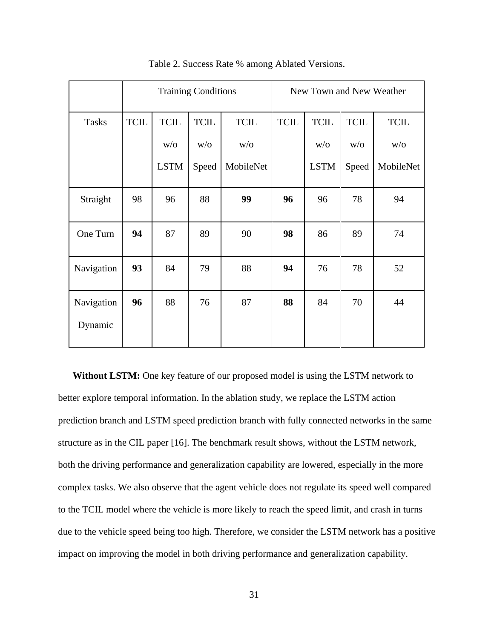|                       |             |             | <b>Training Conditions</b> |             | New Town and New Weather |             |             |             |
|-----------------------|-------------|-------------|----------------------------|-------------|--------------------------|-------------|-------------|-------------|
| <b>Tasks</b>          | <b>TCIL</b> | <b>TCIL</b> | <b>TCIL</b>                | <b>TCIL</b> | <b>TCIL</b>              | <b>TCIL</b> | <b>TCIL</b> | <b>TCIL</b> |
|                       |             | W/O         | W/O                        | W/O         |                          | W/O         | W/O         | W/O         |
|                       |             | <b>LSTM</b> | Speed                      | MobileNet   |                          | <b>LSTM</b> | Speed       | MobileNet   |
| Straight              | 98          | 96          | 88                         | 99          | 96                       | 96          | 78          | 94          |
| One Turn              | 94          | 87          | 89                         | 90          | 98                       | 86          | 89          | 74          |
| Navigation            | 93          | 84          | 79                         | 88          | 94                       | 76          | 78          | 52          |
| Navigation<br>Dynamic | 96          | 88          | 76                         | 87          | 88                       | 84          | 70          | 44          |

Table 2. Success Rate % among Ablated Versions.

**Without LSTM:** One key feature of our proposed model is using the LSTM network to better explore temporal information. In the ablation study, we replace the LSTM action prediction branch and LSTM speed prediction branch with fully connected networks in the same structure as in the CIL paper [16]. The benchmark result shows, without the LSTM network, both the driving performance and generalization capability are lowered, especially in the more complex tasks. We also observe that the agent vehicle does not regulate its speed well compared to the TCIL model where the vehicle is more likely to reach the speed limit, and crash in turns due to the vehicle speed being too high. Therefore, we consider the LSTM network has a positive impact on improving the model in both driving performance and generalization capability.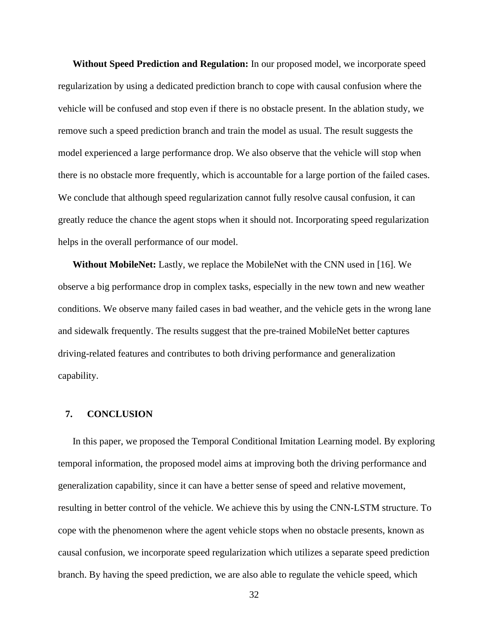**Without Speed Prediction and Regulation:** In our proposed model, we incorporate speed regularization by using a dedicated prediction branch to cope with causal confusion where the vehicle will be confused and stop even if there is no obstacle present. In the ablation study, we remove such a speed prediction branch and train the model as usual. The result suggests the model experienced a large performance drop. We also observe that the vehicle will stop when there is no obstacle more frequently, which is accountable for a large portion of the failed cases. We conclude that although speed regularization cannot fully resolve causal confusion, it can greatly reduce the chance the agent stops when it should not. Incorporating speed regularization helps in the overall performance of our model.

**Without MobileNet:** Lastly, we replace the MobileNet with the CNN used in [16]. We observe a big performance drop in complex tasks, especially in the new town and new weather conditions. We observe many failed cases in bad weather, and the vehicle gets in the wrong lane and sidewalk frequently. The results suggest that the pre-trained MobileNet better captures driving-related features and contributes to both driving performance and generalization capability.

# <span id="page-38-0"></span>**7. CONCLUSION**

In this paper, we proposed the Temporal Conditional Imitation Learning model. By exploring temporal information, the proposed model aims at improving both the driving performance and generalization capability, since it can have a better sense of speed and relative movement, resulting in better control of the vehicle. We achieve this by using the CNN-LSTM structure. To cope with the phenomenon where the agent vehicle stops when no obstacle presents, known as causal confusion, we incorporate speed regularization which utilizes a separate speed prediction branch. By having the speed prediction, we are also able to regulate the vehicle speed, which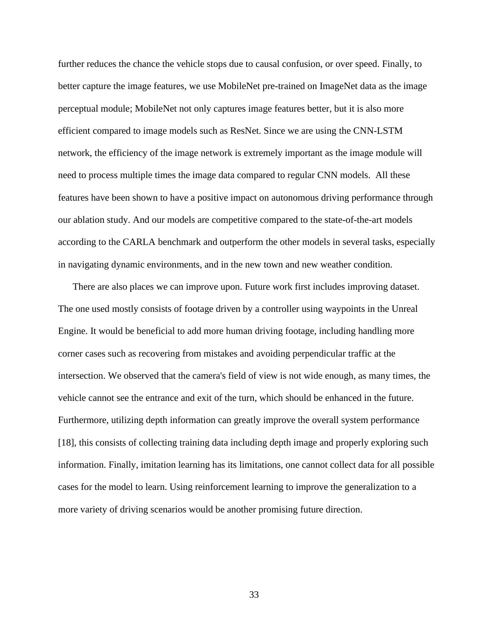further reduces the chance the vehicle stops due to causal confusion, or over speed. Finally, to better capture the image features, we use MobileNet pre-trained on ImageNet data as the image perceptual module; MobileNet not only captures image features better, but it is also more efficient compared to image models such as ResNet. Since we are using the CNN-LSTM network, the efficiency of the image network is extremely important as the image module will need to process multiple times the image data compared to regular CNN models. All these features have been shown to have a positive impact on autonomous driving performance through our ablation study. And our models are competitive compared to the state-of-the-art models according to the CARLA benchmark and outperform the other models in several tasks, especially in navigating dynamic environments, and in the new town and new weather condition.

There are also places we can improve upon. Future work first includes improving dataset. The one used mostly consists of footage driven by a controller using waypoints in the Unreal Engine. It would be beneficial to add more human driving footage, including handling more corner cases such as recovering from mistakes and avoiding perpendicular traffic at the intersection. We observed that the camera's field of view is not wide enough, as many times, the vehicle cannot see the entrance and exit of the turn, which should be enhanced in the future. Furthermore, utilizing depth information can greatly improve the overall system performance [18], this consists of collecting training data including depth image and properly exploring such information. Finally, imitation learning has its limitations, one cannot collect data for all possible cases for the model to learn. Using reinforcement learning to improve the generalization to a more variety of driving scenarios would be another promising future direction.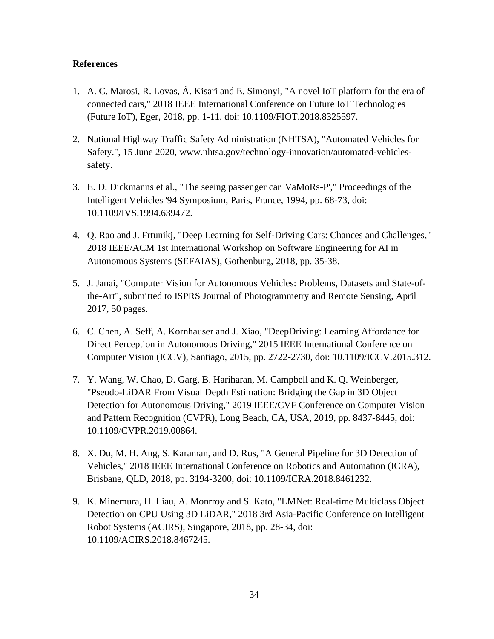# <span id="page-40-0"></span>**References**

- 1. A. C. Marosi, R. Lovas, Á. Kisari and E. Simonyi, "A novel IoT platform for the era of connected cars," 2018 IEEE International Conference on Future IoT Technologies (Future IoT), Eger, 2018, pp. 1-11, doi: 10.1109/FIOT.2018.8325597.
- 2. National Highway Traffic Safety Administration (NHTSA), "Automated Vehicles for Safety.", 15 June 2020, www.nhtsa.gov/technology-innovation/automated-vehiclessafety.
- 3. E. D. Dickmanns et al., "The seeing passenger car 'VaMoRs-P'," Proceedings of the Intelligent Vehicles '94 Symposium, Paris, France, 1994, pp. 68-73, doi: 10.1109/IVS.1994.639472.
- 4. Q. Rao and J. Frtunikj, "Deep Learning for Self-Driving Cars: Chances and Challenges," 2018 IEEE/ACM 1st International Workshop on Software Engineering for AI in Autonomous Systems (SEFAIAS), Gothenburg, 2018, pp. 35-38.
- 5. J. Janai, "Computer Vision for Autonomous Vehicles: Problems, Datasets and State-ofthe-Art", submitted to ISPRS Journal of Photogrammetry and Remote Sensing, April 2017, 50 pages.
- 6. C. Chen, A. Seff, A. Kornhauser and J. Xiao, "DeepDriving: Learning Affordance for Direct Perception in Autonomous Driving," 2015 IEEE International Conference on Computer Vision (ICCV), Santiago, 2015, pp. 2722-2730, doi: 10.1109/ICCV.2015.312.
- 7. Y. Wang, W. Chao, D. Garg, B. Hariharan, M. Campbell and K. Q. Weinberger, "Pseudo-LiDAR From Visual Depth Estimation: Bridging the Gap in 3D Object Detection for Autonomous Driving," 2019 IEEE/CVF Conference on Computer Vision and Pattern Recognition (CVPR), Long Beach, CA, USA, 2019, pp. 8437-8445, doi: 10.1109/CVPR.2019.00864.
- 8. X. Du, M. H. Ang, S. Karaman, and D. Rus, "A General Pipeline for 3D Detection of Vehicles," 2018 IEEE International Conference on Robotics and Automation (ICRA), Brisbane, QLD, 2018, pp. 3194-3200, doi: 10.1109/ICRA.2018.8461232.
- 9. K. Minemura, H. Liau, A. Monrroy and S. Kato, "LMNet: Real-time Multiclass Object Detection on CPU Using 3D LiDAR," 2018 3rd Asia-Pacific Conference on Intelligent Robot Systems (ACIRS), Singapore, 2018, pp. 28-34, doi: 10.1109/ACIRS.2018.8467245.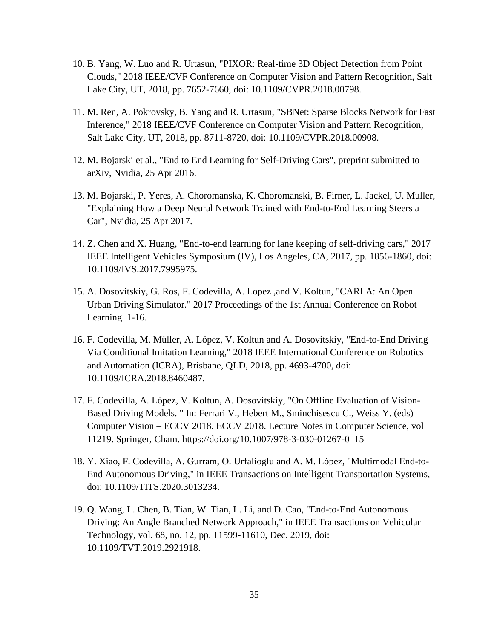- 10. B. Yang, W. Luo and R. Urtasun, "PIXOR: Real-time 3D Object Detection from Point Clouds," 2018 IEEE/CVF Conference on Computer Vision and Pattern Recognition, Salt Lake City, UT, 2018, pp. 7652-7660, doi: 10.1109/CVPR.2018.00798.
- 11. M. Ren, A. Pokrovsky, B. Yang and R. Urtasun, "SBNet: Sparse Blocks Network for Fast Inference," 2018 IEEE/CVF Conference on Computer Vision and Pattern Recognition, Salt Lake City, UT, 2018, pp. 8711-8720, doi: 10.1109/CVPR.2018.00908.
- 12. M. Bojarski et al., "End to End Learning for Self-Driving Cars", preprint submitted to arXiv, Nvidia, 25 Apr 2016.
- 13. M. Bojarski, P. Yeres, A. Choromanska, K. Choromanski, B. Firner, L. Jackel, U. Muller, "Explaining How a Deep Neural Network Trained with End-to-End Learning Steers a Car", Nvidia, 25 Apr 2017.
- 14. Z. Chen and X. Huang, "End-to-end learning for lane keeping of self-driving cars," 2017 IEEE Intelligent Vehicles Symposium (IV), Los Angeles, CA, 2017, pp. 1856-1860, doi: 10.1109/IVS.2017.7995975.
- 15. A. Dosovitskiy, G. Ros, F. Codevilla, A. Lopez ,and V. Koltun, "CARLA: An Open Urban Driving Simulator." 2017 Proceedings of the 1st Annual Conference on Robot Learning. 1-16.
- 16. F. Codevilla, M. Müller, A. López, V. Koltun and A. Dosovitskiy, "End-to-End Driving Via Conditional Imitation Learning," 2018 IEEE International Conference on Robotics and Automation (ICRA), Brisbane, QLD, 2018, pp. 4693-4700, doi: 10.1109/ICRA.2018.8460487.
- 17. F. Codevilla, A. López, V. Koltun, A. Dosovitskiy, "On Offline Evaluation of Vision-Based Driving Models. " In: Ferrari V., Hebert M., Sminchisescu C., Weiss Y. (eds) Computer Vision – ECCV 2018. ECCV 2018. Lecture Notes in Computer Science, vol 11219. Springer, Cham. https://doi.org/10.1007/978-3-030-01267-0\_15
- 18. Y. Xiao, F. Codevilla, A. Gurram, O. Urfalioglu and A. M. López, "Multimodal End-to-End Autonomous Driving," in IEEE Transactions on Intelligent Transportation Systems, doi: 10.1109/TITS.2020.3013234.
- 19. Q. Wang, L. Chen, B. Tian, W. Tian, L. Li, and D. Cao, "End-to-End Autonomous Driving: An Angle Branched Network Approach," in IEEE Transactions on Vehicular Technology, vol. 68, no. 12, pp. 11599-11610, Dec. 2019, doi: 10.1109/TVT.2019.2921918.